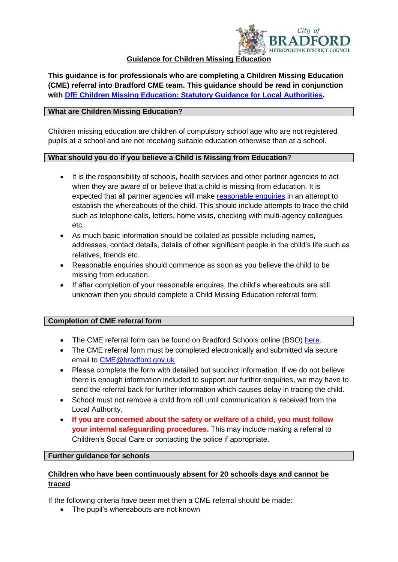

## **Guidance for Children Missing Education**

**This guidance is for professionals who are completing a Children Missing Education (CME) referral into Bradford CME team. This guidance should be read in conjunction with [DfE Children Missing Education: Statutory Guidance for Local Authorities.](https://www.gov.uk/government/publications/children-missing-education)**

### **What are Children Missing Education?**

Children missing education are children of compulsory school age who are not registered pupils at a school and are not receiving suitable education otherwise than at a school.

### **What should you do if you believe a Child is Missing from Education**?

- It is the responsibility of schools, health services and other partner agencies to act when they are aware of or believe that a child is missing from education. It is expected that all partner agencies will make [reasonable enquiries](https://bso.bradford.gov.uk/content/children-missing-education) in an attempt to establish the whereabouts of the child. This should include attempts to trace the child such as telephone calls, letters, home visits, checking with multi-agency colleagues etc.
- As much basic information should be collated as possible including names, addresses, contact details, details of other significant people in the child's life such as relatives, friends etc.
- Reasonable enquiries should commence as soon as you believe the child to be missing from education.
- If after completion of your reasonable enquires, the child's whereabouts are still unknown then you should complete a Child Missing Education referral form.

# **Completion of CME referral form**

- The CME referral form can be found on Bradford Schools online (BSO) [here.](https://bso.bradford.gov.uk/content/children-missing-education)
- The CME referral form must be completed electronically and submitted via secure email to [CME@bradford.gov.uk](mailto:CME@bradford.gov.uk)
- Please complete the form with detailed but succinct information. If we do not believe there is enough information included to support our further enquiries, we may have to send the referral back for further information which causes delay in tracing the child.
- School must not remove a child from roll until communication is received from the Local Authority.
- **If you are concerned about the safety or welfare of a child, you must follow your internal safeguarding procedures.** This may include making a referral to Children's Social Care or contacting the police if appropriate.

### **Further guidance for schools**

## **Children who have been continuously absent for 20 schools days and cannot be traced**

If the following criteria have been met then a CME referral should be made:

• The pupil's whereabouts are not known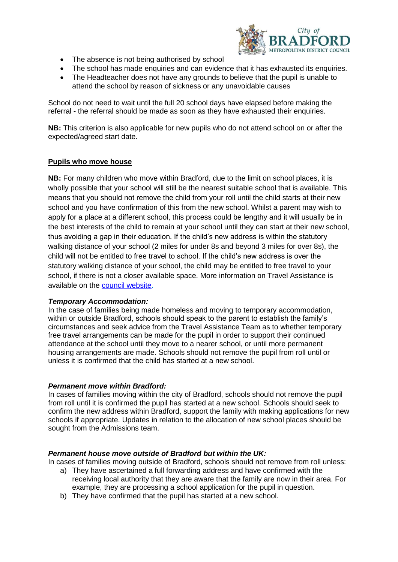

- The absence is not being authorised by school
- The school has made enquiries and can evidence that it has exhausted its enquiries.
- The Headteacher does not have any grounds to believe that the pupil is unable to attend the school by reason of sickness or any unavoidable causes

School do not need to wait until the full 20 school days have elapsed before making the referral - the referral should be made as soon as they have exhausted their enquiries.

**NB:** This criterion is also applicable for new pupils who do not attend school on or after the expected/agreed start date.

### **Pupils who move house**

**NB:** For many children who move within Bradford, due to the limit on school places, it is wholly possible that your school will still be the nearest suitable school that is available. This means that you should not remove the child from your roll until the child starts at their new school and you have confirmation of this from the new school. Whilst a parent may wish to apply for a place at a different school, this process could be lengthy and it will usually be in the best interests of the child to remain at your school until they can start at their new school, thus avoiding a gap in their education. If the child's new address is within the statutory walking distance of your school (2 miles for under 8s and beyond 3 miles for over 8s), the child will not be entitled to free travel to school. If the child's new address is over the statutory walking distance of your school, the child may be entitled to free travel to your school, if there is not a closer available space. More information on Travel Assistance is available on the [council website.](https://www.bradford.gov.uk/education-and-skills/travel-assistance/assistance-with-travel-to-home-school-and-college/)

#### *Temporary Accommodation:*

In the case of families being made homeless and moving to temporary accommodation, within or outside Bradford, schools should speak to the parent to establish the family's circumstances and seek advice from the Travel Assistance Team as to whether temporary free travel arrangements can be made for the pupil in order to support their continued attendance at the school until they move to a nearer school, or until more permanent housing arrangements are made. Schools should not remove the pupil from roll until or unless it is confirmed that the child has started at a new school.

#### *Permanent move within Bradford:*

In cases of families moving within the city of Bradford, schools should not remove the pupil from roll until it is confirmed the pupil has started at a new school. Schools should seek to confirm the new address within Bradford, support the family with making applications for new schools if appropriate. Updates in relation to the allocation of new school places should be sought from the Admissions team.

#### *Permanent house move outside of Bradford but within the UK:*

In cases of families moving outside of Bradford, schools should not remove from roll unless:

- a) They have ascertained a full forwarding address and have confirmed with the receiving local authority that they are aware that the family are now in their area. For example, they are processing a school application for the pupil in question.
- b) They have confirmed that the pupil has started at a new school.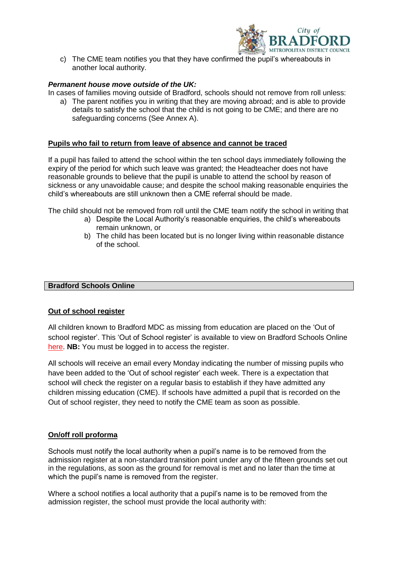

c) The CME team notifies you that they have confirmed the pupil's whereabouts in another local authority.

### *Permanent house move outside of the UK:*

In cases of families moving outside of Bradford, schools should not remove from roll unless:

a) The parent notifies you in writing that they are moving abroad; and is able to provide details to satisfy the school that the child is not going to be CME; and there are no safeguarding concerns (See Annex A).

#### **Pupils who fail to return from leave of absence and cannot be traced**

If a pupil has failed to attend the school within the ten school days immediately following the expiry of the period for which such leave was granted; the Headteacher does not have reasonable grounds to believe that the pupil is unable to attend the school by reason of sickness or any unavoidable cause; and despite the school making reasonable enquiries the child's whereabouts are still unknown then a CME referral should be made.

The child should not be removed from roll until the CME team notify the school in writing that

- a) Despite the Local Authority's reasonable enquiries, the child's whereabouts remain unknown, or
- b) The child has been located but is no longer living within reasonable distance of the school.

#### **Bradford Schools Online**

#### **Out of school register**

All children known to Bradford MDC as missing from education are placed on the 'Out of school register'. This 'Out of School register' is available to view on Bradford Schools Online here. **NB:** You must be logged in to access the register.

All schools will receive an email every Monday indicating the number of missing pupils who have been added to the 'Out of school register' each week. There is a expectation that school will check the register on a regular basis to establish if they have admitted any children missing education (CME). If schools have admitted a pupil that is recorded on the Out of school register, they need to notify the CME team as soon as possible.

#### **On/off roll proforma**

Schools must notify the local authority when a pupil's name is to be removed from the admission register at a non-standard transition point under any of the fifteen grounds set out in the regulations, as soon as the ground for removal is met and no later than the time at which the pupil's name is removed from the register.

Where a school notifies a local authority that a pupil's name is to be removed from the admission register, the school must provide the local authority with: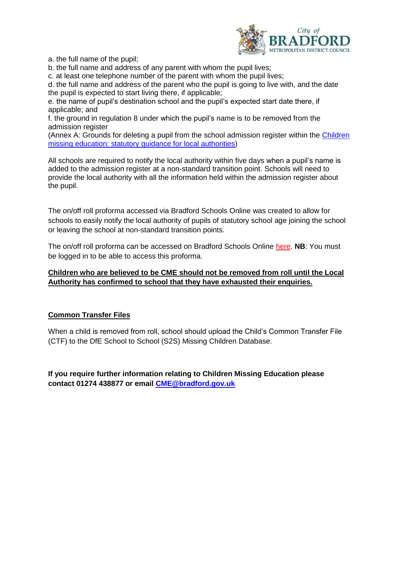

a. the full name of the pupil;

b. the full name and address of any parent with whom the pupil lives;

c. at least one telephone number of the parent with whom the pupil lives;

d. the full name and address of the parent who the pupil is going to live with, and the date the pupil is expected to start living there, if applicable;

e. the name of pupil's destination school and the pupil's expected start date there, if applicable; and

f. the ground in regulation 8 under which the pupil's name is to be removed from the admission register

(Annex A: Grounds for deleting a pupil from the school admission register within the [Children](https://www.gov.uk/government/publications/children-missing-education)  [missing education: statutory guidance for local authorities\)](https://www.gov.uk/government/publications/children-missing-education)

All schools are required to notify the local authority within five days when a pupil's name is added to the admission register at a non-standard transition point. Schools will need to provide the local authority with all the information held within the admission register about the pupil.

The on/off roll proforma accessed via Bradford Schools Online was created to allow for schools to easily notify the local authority of pupils of statutory school age joining the school or leaving the school at non-standard transition points.

The on/off roll proforma can be accessed on Bradford Schools Online here. **NB**: You must be logged in to be able to access this proforma.

## **Children who are believed to be CME should not be removed from roll until the Local Authority has confirmed to school that they have exhausted their enquiries.**

# **Common Transfer Files**

When a child is removed from roll, school should upload the Child's Common Transfer File (CTF) to the DfE School to School (S2S) Missing Children Database.

**If you require further information relating to Children Missing Education please contact 01274 438877 or email [CME@bradford.gov.uk](mailto:CME@bradford.gov.uk)**